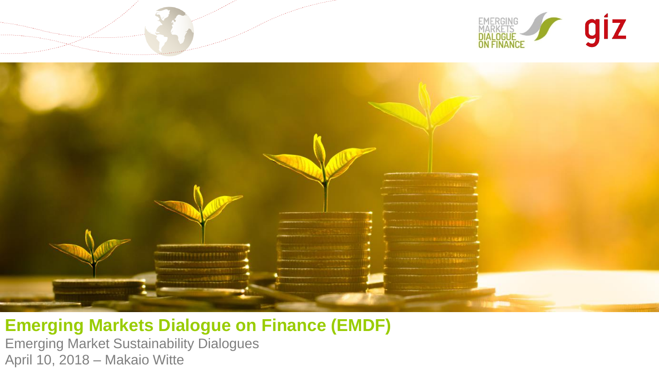



**Emerging Markets Dialogue on Finance (EMDF)** Emerging Market Sustainability Dialogues April 10, 2018 – Makaio Witte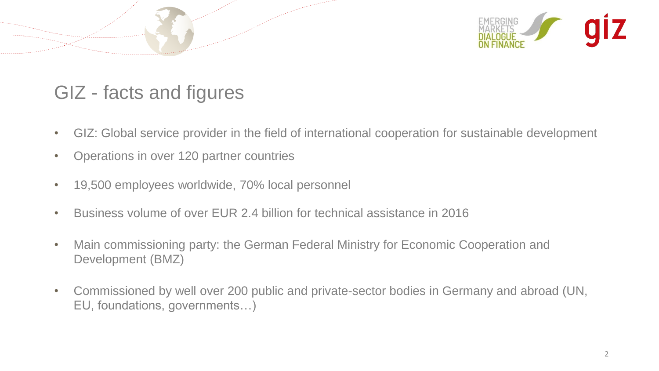

## GIZ - facts and figures

- GIZ: Global service provider in the field of international cooperation for sustainable development
- Operations in over 120 partner countries
- 19,500 employees worldwide, 70% local personnel
- Business volume of over EUR 2.4 billion for technical assistance in 2016
- Main commissioning party: the German Federal Ministry for Economic Cooperation and Development (BMZ)
- Commissioned by well over 200 public and private-sector bodies in Germany and abroad (UN, EU, foundations, governments…)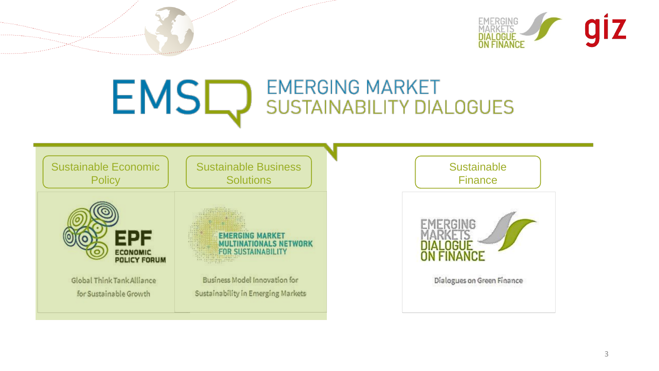

### EMSC **EMERGING MARKET SUSTAINABILITY DIALOGUES**

Sustainable Economic **Policy** 



**Global Think Tank Alliance** for Sustainable Growth

Sustainable Business **Solutions** 

> **EMERGING MARKET MULTINATIONALS NETWORK FOR SUSTAINABILITY**

**Business Model Innovation for** Sustainability in Emerging Markets **Sustainable Finance** 



Dialogues on Green Finance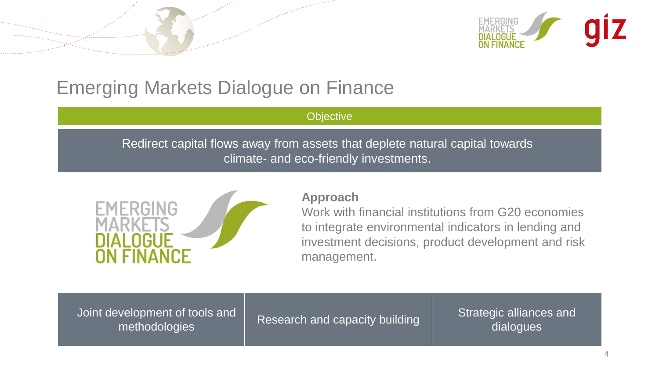

## Emerging Markets Dialogue on Finance

#### **Objective**

Redirect capital flows away from assets that deplete natural capital towards climate- and eco-friendly investments.



#### **Approach**

Work with financial institutions from G20 economies to integrate environmental indicators in lending and investment decisions, product development and risk management.

Joint development of tools and

velopment of tools and  $\vert$  Research and capacity building  $\vert$  Strategic alliances and methodologies dialogues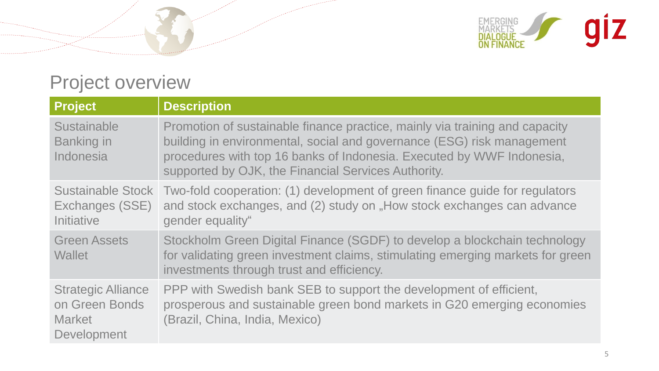

## Project overview

| <b>Project</b>                                                              | <b>Description</b>                                                                                                                                                                                                                                                                    |
|-----------------------------------------------------------------------------|---------------------------------------------------------------------------------------------------------------------------------------------------------------------------------------------------------------------------------------------------------------------------------------|
| <b>Sustainable</b><br><b>Banking in</b><br>Indonesia                        | Promotion of sustainable finance practice, mainly via training and capacity<br>building in environmental, social and governance (ESG) risk management<br>procedures with top 16 banks of Indonesia. Executed by WWF Indonesia,<br>supported by OJK, the Financial Services Authority. |
| <b>Sustainable Stock</b><br>Exchanges (SSE)<br><b>Initiative</b>            | Two-fold cooperation: (1) development of green finance guide for regulators<br>and stock exchanges, and (2) study on "How stock exchanges can advance<br>gender equality"                                                                                                             |
| <b>Green Assets</b><br><b>Wallet</b>                                        | Stockholm Green Digital Finance (SGDF) to develop a blockchain technology<br>for validating green investment claims, stimulating emerging markets for green<br>investments through trust and efficiency.                                                                              |
| <b>Strategic Alliance</b><br>on Green Bonds<br><b>Market</b><br>Development | PPP with Swedish bank SEB to support the development of efficient,<br>prosperous and sustainable green bond markets in G20 emerging economies<br>(Brazil, China, India, Mexico)                                                                                                       |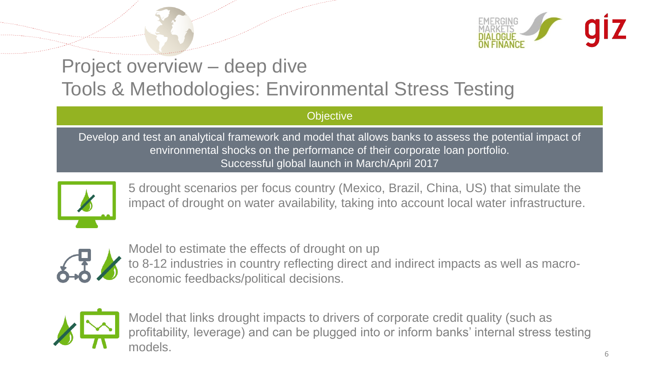

## Project overview – deep dive Tools & Methodologies: Environmental Stress Testing

**Objective** 

Develop and test an analytical framework and model that allows banks to assess the potential impact of environmental shocks on the performance of their corporate loan portfolio. Successful global launch in March/April 2017



5 drought scenarios per focus country (Mexico, Brazil, China, US) that simulate the impact of drought on water availability, taking into account local water infrastructure.



Model to estimate the effects of drought on up to 8-12 industries in country reflecting direct and indirect impacts as well as macroeconomic feedbacks/political decisions.



Model that links drought impacts to drivers of corporate credit quality (such as profitability, leverage) and can be plugged into or inform banks' internal stress testing models.